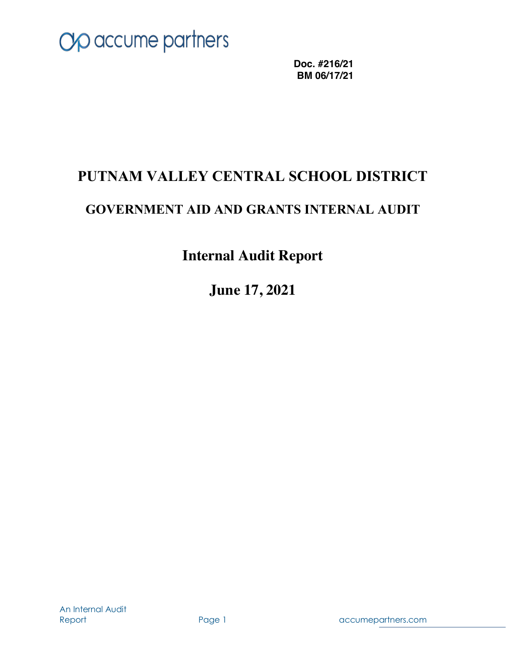

**Doc. #216/21 BM 06/17/21**

## **PUTNAM VALLEY CENTRAL SCHOOL DISTRICT**

## **GOVERNMENT AID AND GRANTS INTERNAL AUDIT**

## **Internal Audit Report**

**June 17, 2021**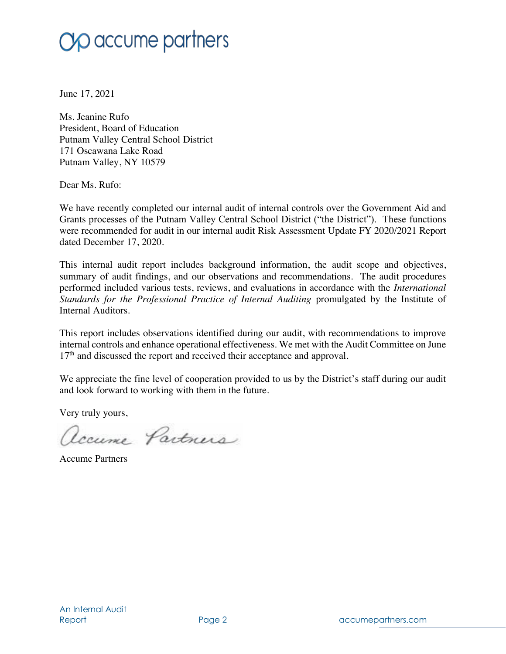June 17, 2021

Ms. Jeanine Rufo President, Board of Education Putnam Valley Central School District 171 Oscawana Lake Road Putnam Valley, NY 10579

Dear Ms. Rufo:

We have recently completed our internal audit of internal controls over the Government Aid and Grants processes of the Putnam Valley Central School District ("the District"). These functions were recommended for audit in our internal audit Risk Assessment Update FY 2020/2021 Report dated December 17, 2020.

This internal audit report includes background information, the audit scope and objectives, summary of audit findings, and our observations and recommendations. The audit procedures performed included various tests, reviews, and evaluations in accordance with the *International Standards for the Professional Practice of Internal Auditing* promulgated by the Institute of Internal Auditors.

This report includes observations identified during our audit, with recommendations to improve internal controls and enhance operational effectiveness. We met with the Audit Committee on June 17<sup>th</sup> and discussed the report and received their acceptance and approval.

We appreciate the fine level of cooperation provided to us by the District's staff during our audit and look forward to working with them in the future.

Very truly yours,

accume Partners

Accume Partners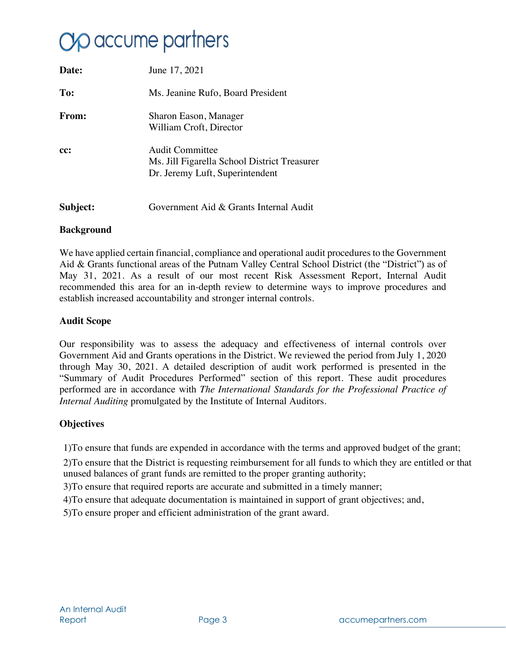# **Yo** accume partners

| Date:    | June 17, 2021                                                                                      |
|----------|----------------------------------------------------------------------------------------------------|
| To:      | Ms. Jeanine Rufo, Board President                                                                  |
| From:    | Sharon Eason, Manager<br>William Croft, Director                                                   |
| cc:      | Audit Committee<br>Ms. Jill Figarella School District Treasurer<br>Dr. Jeremy Luft, Superintendent |
| Subject: | Government Aid & Grants Internal Audit                                                             |

#### **Background**

We have applied certain financial, compliance and operational audit procedures to the Government Aid & Grants functional areas of the Putnam Valley Central School District (the "District") as of May 31, 2021. As a result of our most recent Risk Assessment Report, Internal Audit recommended this area for an in-depth review to determine ways to improve procedures and establish increased accountability and stronger internal controls.

### **Audit Scope**

Our responsibility was to assess the adequacy and effectiveness of internal controls over Government Aid and Grants operations in the District. We reviewed the period from July 1, 2020 through May 30, 2021. A detailed description of audit work performed is presented in the "Summary of Audit Procedures Performed" section of this report. These audit procedures performed are in accordance with *The International Standards for the Professional Practice of Internal Auditing* promulgated by the Institute of Internal Auditors.

### **Objectives**

1)To ensure that funds are expended in accordance with the terms and approved budget of the grant;

2)To ensure that the District is requesting reimbursement for all funds to which they are entitled or that unused balances of grant funds are remitted to the proper granting authority;

3)To ensure that required reports are accurate and submitted in a timely manner;

4)To ensure that adequate documentation is maintained in support of grant objectives; and,

5)To ensure proper and efficient administration of the grant award.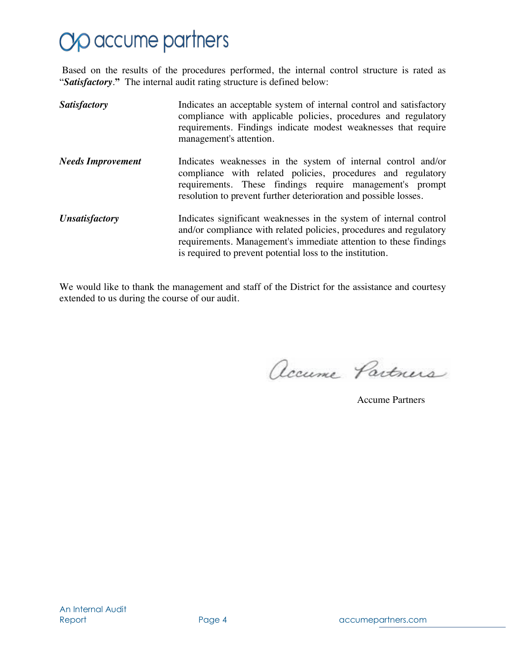# Op accume partners

Based on the results of the procedures performed, the internal control structure is rated as "*Satisfactory*.**"** The internal audit rating structure is defined below:

| <b>Satisfactory</b>          | Indicates an acceptable system of internal control and satisfactory<br>compliance with applicable policies, procedures and regulatory<br>requirements. Findings indicate modest weaknesses that require<br>management's attention.                                        |
|------------------------------|---------------------------------------------------------------------------------------------------------------------------------------------------------------------------------------------------------------------------------------------------------------------------|
| <b>Needs Improvement</b>     | Indicates weaknesses in the system of internal control and/or<br>compliance with related policies, procedures and regulatory<br>requirements. These findings require management's prompt<br>resolution to prevent further deterioration and possible losses.              |
| <i><b>Unsatisfactory</b></i> | Indicates significant weaknesses in the system of internal control<br>and/or compliance with related policies, procedures and regulatory<br>requirements. Management's immediate attention to these findings<br>is required to prevent potential loss to the institution. |

We would like to thank the management and staff of the District for the assistance and courtesy extended to us during the course of our audit.

accume Partners

Accume Partners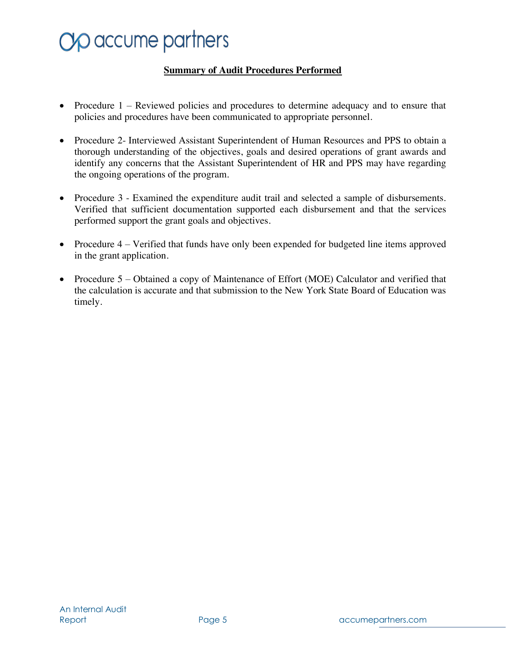# **Yo** accume partners

### **Summary of Audit Procedures Performed**

- Procedure 1 Reviewed policies and procedures to determine adequacy and to ensure that policies and procedures have been communicated to appropriate personnel.
- Procedure 2- Interviewed Assistant Superintendent of Human Resources and PPS to obtain a thorough understanding of the objectives, goals and desired operations of grant awards and identify any concerns that the Assistant Superintendent of HR and PPS may have regarding the ongoing operations of the program.
- Procedure 3 Examined the expenditure audit trail and selected a sample of disbursements. Verified that sufficient documentation supported each disbursement and that the services performed support the grant goals and objectives.
- Procedure 4 Verified that funds have only been expended for budgeted line items approved in the grant application.
- Procedure 5 Obtained a copy of Maintenance of Effort (MOE) Calculator and verified that the calculation is accurate and that submission to the New York State Board of Education was timely.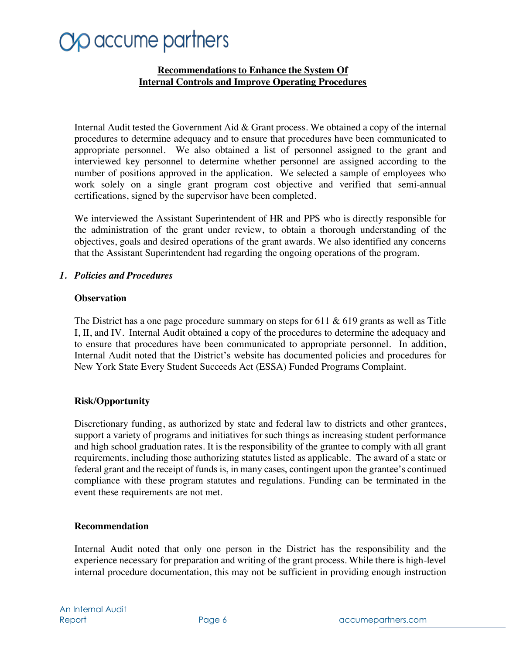### **Recommendations to Enhance the System Of Internal Controls and Improve Operating Procedures**

Internal Audit tested the Government Aid & Grant process. We obtained a copy of the internal procedures to determine adequacy and to ensure that procedures have been communicated to appropriate personnel. We also obtained a list of personnel assigned to the grant and interviewed key personnel to determine whether personnel are assigned according to the number of positions approved in the application. We selected a sample of employees who work solely on a single grant program cost objective and verified that semi-annual certifications, signed by the supervisor have been completed.

We interviewed the Assistant Superintendent of HR and PPS who is directly responsible for the administration of the grant under review, to obtain a thorough understanding of the objectives, goals and desired operations of the grant awards. We also identified any concerns that the Assistant Superintendent had regarding the ongoing operations of the program.

### *1. Policies and Procedures*

### **Observation**

The District has a one page procedure summary on steps for 611  $\&$  619 grants as well as Title I, II, and IV. Internal Audit obtained a copy of the procedures to determine the adequacy and to ensure that procedures have been communicated to appropriate personnel. In addition, Internal Audit noted that the District's website has documented policies and procedures for New York State Every Student Succeeds Act (ESSA) Funded Programs Complaint.

### **Risk/Opportunity**

Discretionary funding, as authorized by state and federal law to districts and other grantees, support a variety of programs and initiatives for such things as increasing student performance and high school graduation rates. It is the responsibility of the grantee to comply with all grant requirements, including those authorizing statutes listed as applicable. The award of a state or federal grant and the receipt of funds is, in many cases, contingent upon the grantee's continued compliance with these program statutes and regulations. Funding can be terminated in the event these requirements are not met.

### **Recommendation**

Internal Audit noted that only one person in the District has the responsibility and the experience necessary for preparation and writing of the grant process. While there is high-level internal procedure documentation, this may not be sufficient in providing enough instruction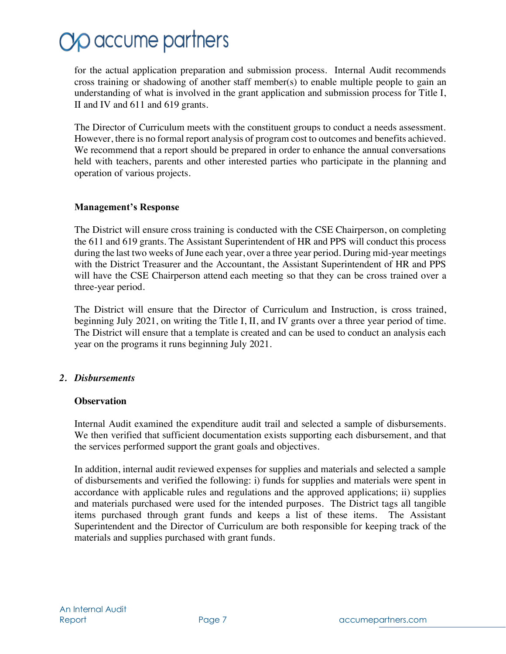for the actual application preparation and submission process. Internal Audit recommends cross training or shadowing of another staff member(s) to enable multiple people to gain an understanding of what is involved in the grant application and submission process for Title I, II and IV and 611 and 619 grants.

The Director of Curriculum meets with the constituent groups to conduct a needs assessment. However, there is no formal report analysis of program cost to outcomes and benefits achieved. We recommend that a report should be prepared in order to enhance the annual conversations held with teachers, parents and other interested parties who participate in the planning and operation of various projects.

### **Management's Response**

The District will ensure cross training is conducted with the CSE Chairperson, on completing the 611 and 619 grants. The Assistant Superintendent of HR and PPS will conduct this process during the last two weeks of June each year, over a three year period. During mid-year meetings with the District Treasurer and the Accountant, the Assistant Superintendent of HR and PPS will have the CSE Chairperson attend each meeting so that they can be cross trained over a three-year period.

The District will ensure that the Director of Curriculum and Instruction, is cross trained, beginning July 2021, on writing the Title I, II, and IV grants over a three year period of time. The District will ensure that a template is created and can be used to conduct an analysis each year on the programs it runs beginning July 2021.

### *2. Disbursements*

### **Observation**

Internal Audit examined the expenditure audit trail and selected a sample of disbursements. We then verified that sufficient documentation exists supporting each disbursement, and that the services performed support the grant goals and objectives.

In addition, internal audit reviewed expenses for supplies and materials and selected a sample of disbursements and verified the following: i) funds for supplies and materials were spent in accordance with applicable rules and regulations and the approved applications; ii) supplies and materials purchased were used for the intended purposes. The District tags all tangible items purchased through grant funds and keeps a list of these items. The Assistant Superintendent and the Director of Curriculum are both responsible for keeping track of the materials and supplies purchased with grant funds.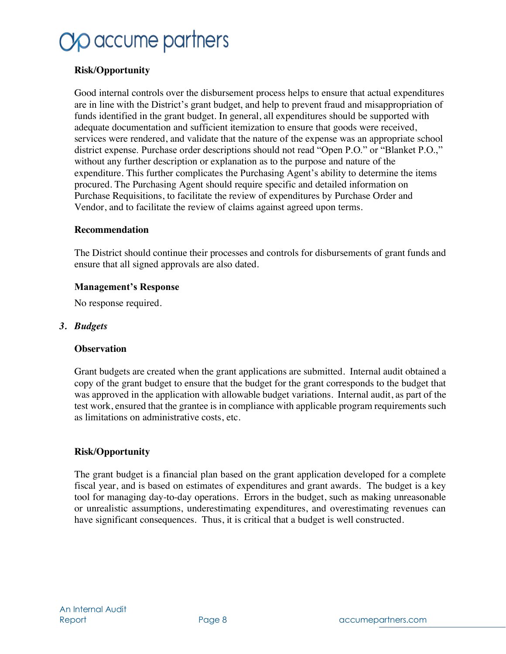### **Risk/Opportunity**

Good internal controls over the disbursement process helps to ensure that actual expenditures are in line with the District's grant budget, and help to prevent fraud and misappropriation of funds identified in the grant budget. In general, all expenditures should be supported with adequate documentation and sufficient itemization to ensure that goods were received, services were rendered, and validate that the nature of the expense was an appropriate school district expense. Purchase order descriptions should not read "Open P.O." or "Blanket P.O.," without any further description or explanation as to the purpose and nature of the expenditure. This further complicates the Purchasing Agent's ability to determine the items procured. The Purchasing Agent should require specific and detailed information on Purchase Requisitions, to facilitate the review of expenditures by Purchase Order and Vendor, and to facilitate the review of claims against agreed upon terms.

#### **Recommendation**

The District should continue their processes and controls for disbursements of grant funds and ensure that all signed approvals are also dated.

#### **Management's Response**

No response required.

#### *3. Budgets*

#### **Observation**

Grant budgets are created when the grant applications are submitted. Internal audit obtained a copy of the grant budget to ensure that the budget for the grant corresponds to the budget that was approved in the application with allowable budget variations. Internal audit, as part of the test work, ensured that the grantee is in compliance with applicable program requirements such as limitations on administrative costs, etc.

### **Risk/Opportunity**

The grant budget is a financial plan based on the grant application developed for a complete fiscal year, and is based on estimates of expenditures and grant awards. The budget is a key tool for managing day-to-day operations. Errors in the budget, such as making unreasonable or unrealistic assumptions, underestimating expenditures, and overestimating revenues can have significant consequences. Thus, it is critical that a budget is well constructed.